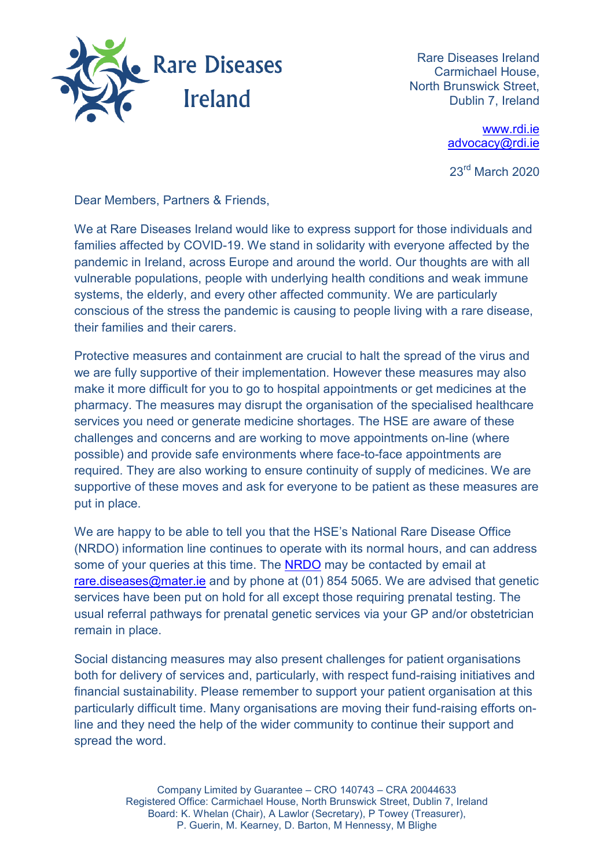

Rare Diseases Ireland Carmichael House, North Brunswick Street, Dublin 7, Ireland

> [www.rdi.ie](http://www.rdi.ie/) [advocacy@rdi.ie](mailto:advocacy@rdi.ie)

> 23rd March 2020

Dear Members, Partners & Friends,

We at Rare Diseases Ireland would like to express support for those individuals and families affected by COVID-19. We stand in solidarity with everyone affected by the pandemic in Ireland, across Europe and around the world. Our thoughts are with all vulnerable populations, people with underlying health conditions and weak immune systems, the elderly, and every other affected community. We are particularly conscious of the stress the pandemic is causing to people living with a rare disease, their families and their carers.

Protective measures and containment are crucial to halt the spread of the virus and we are fully supportive of their implementation. However these measures may also make it more difficult for you to go to hospital appointments or get medicines at the pharmacy. The measures may disrupt the organisation of the specialised healthcare services you need or generate medicine shortages. The HSE are aware of these challenges and concerns and are working to move appointments on-line (where possible) and provide safe environments where face-to-face appointments are required. They are also working to ensure continuity of supply of medicines. We are supportive of these moves and ask for everyone to be patient as these measures are put in place.

We are happy to be able to tell you that the HSE's National Rare Disease Office (NRDO) information line continues to operate with its normal hours, and can address some of your queries at this time. The [NRDO](http://www.rarediseases.ie/) may be contacted by email at [rare.diseases@mater.ie](mailto:rare.diseases@mater.ie) and by phone at (01) 854 5065. We are advised that genetic services have been put on hold for all except those requiring prenatal testing. The usual referral pathways for prenatal genetic services via your GP and/or obstetrician remain in place.

Social distancing measures may also present challenges for patient organisations both for delivery of services and, particularly, with respect fund-raising initiatives and financial sustainability. Please remember to support your patient organisation at this particularly difficult time. Many organisations are moving their fund-raising efforts online and they need the help of the wider community to continue their support and spread the word.